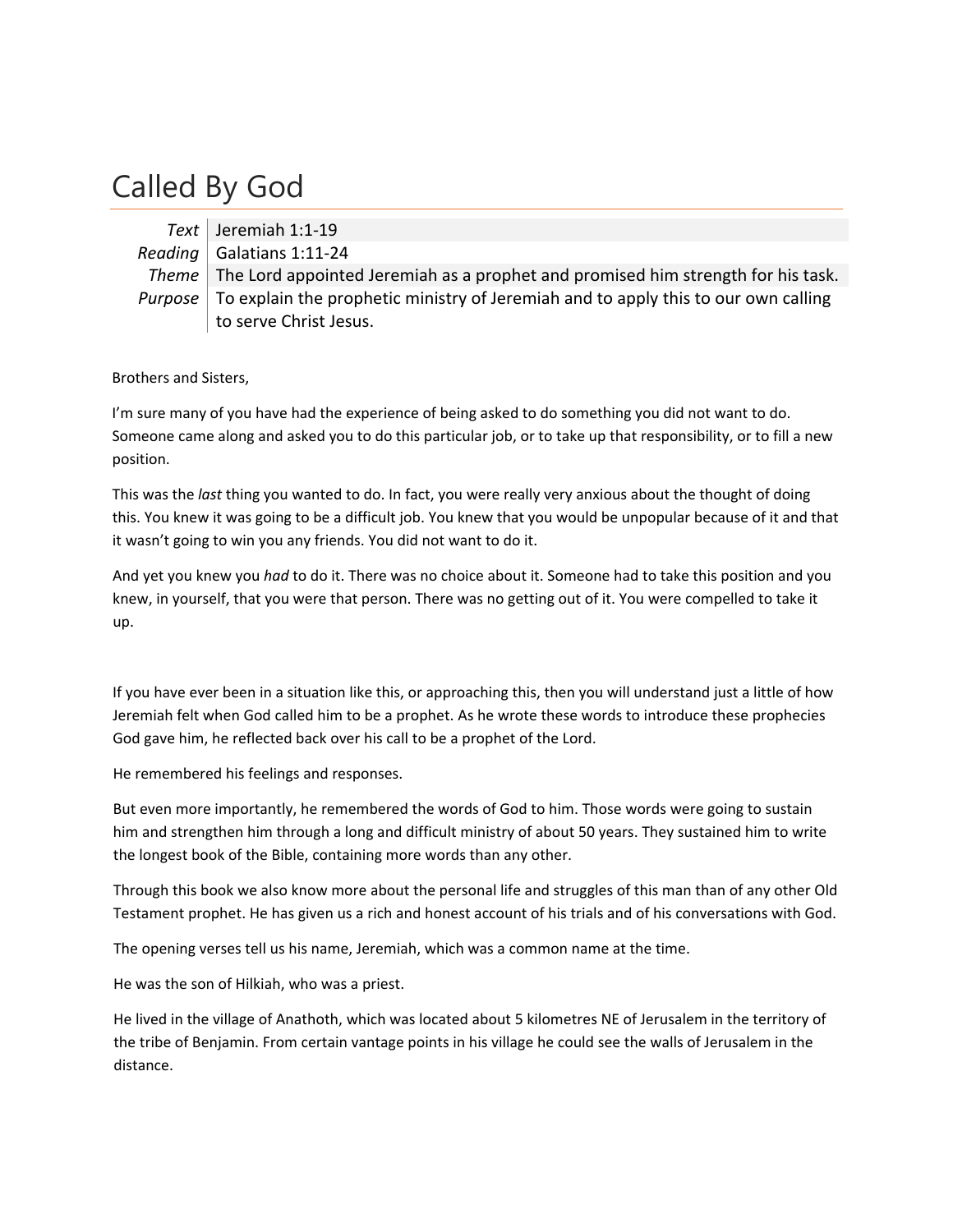## Called By God

| Text   Jeremiah 1:1-19                                                                                    |
|-----------------------------------------------------------------------------------------------------------|
| Reading   Galatians 1:11-24                                                                               |
| Theme The Lord appointed Jeremiah as a prophet and promised him strength for his task.                    |
| <i>Purpose</i> $\vert$ To explain the prophetic ministry of Jeremiah and to apply this to our own calling |
| to serve Christ Jesus.                                                                                    |

Brothers and Sisters,

I'm sure many of you have had the experience of being asked to do something you did not want to do. Someone came along and asked you to do this particular job, or to take up that responsibility, or to fill a new position.

This was the *last* thing you wanted to do. In fact, you were really very anxious about the thought of doing this. You knew it was going to be a difficult job. You knew that you would be unpopular because of it and that it wasn't going to win you any friends. You did not want to do it.

And yet you knew you *had* to do it. There was no choice about it. Someone had to take this position and you knew, in yourself, that you were that person. There was no getting out of it. You were compelled to take it up.

If you have ever been in a situation like this, or approaching this, then you will understand just a little of how Jeremiah felt when God called him to be a prophet. As he wrote these words to introduce these prophecies God gave him, he reflected back over his call to be a prophet of the Lord.

He remembered his feelings and responses.

But even more importantly, he remembered the words of God to him. Those words were going to sustain him and strengthen him through a long and difficult ministry of about 50 years. They sustained him to write the longest book of the Bible, containing more words than any other.

Through this book we also know more about the personal life and struggles of this man than of any other Old Testament prophet. He has given us a rich and honest account of his trials and of his conversations with God.

The opening verses tell us his name, Jeremiah, which was a common name at the time.

He was the son of Hilkiah, who was a priest.

He lived in the village of Anathoth, which was located about 5 kilometres NE of Jerusalem in the territory of the tribe of Benjamin. From certain vantage points in his village he could see the walls of Jerusalem in the distance.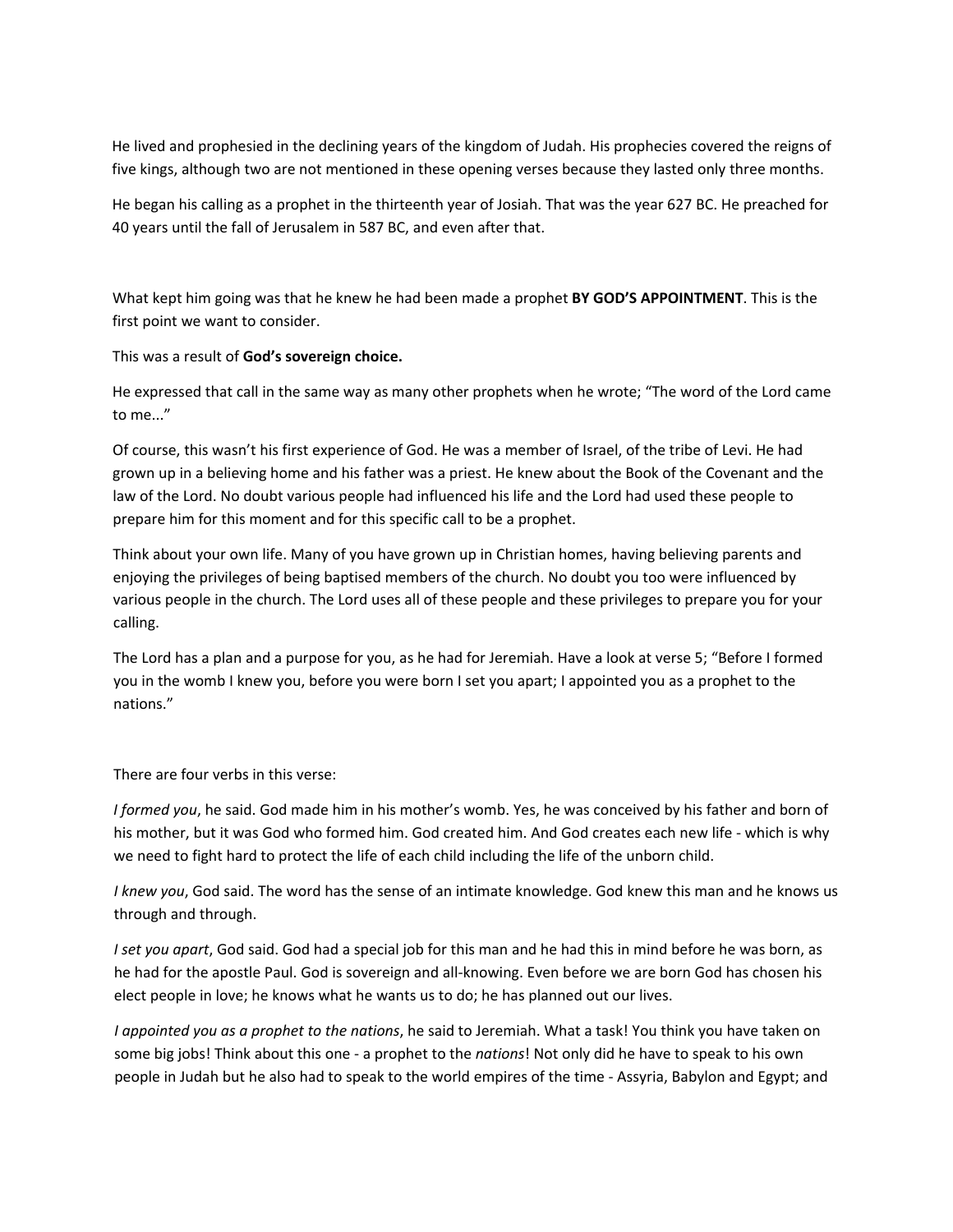He lived and prophesied in the declining years of the kingdom of Judah. His prophecies covered the reigns of five kings, although two are not mentioned in these opening verses because they lasted only three months.

He began his calling as a prophet in the thirteenth year of Josiah. That was the year 627 BC. He preached for 40 years until the fall of Jerusalem in 587 BC, and even after that.

What kept him going was that he knew he had been made a prophet **BY GOD'S APPOINTMENT**. This is the first point we want to consider.

This was a result of **God's sovereign choice.**

He expressed that call in the same way as many other prophets when he wrote; "The word of the Lord came to me..."

Of course, this wasn't his first experience of God. He was a member of Israel, of the tribe of Levi. He had grown up in a believing home and his father was a priest. He knew about the Book of the Covenant and the law of the Lord. No doubt various people had influenced his life and the Lord had used these people to prepare him for this moment and for this specific call to be a prophet.

Think about your own life. Many of you have grown up in Christian homes, having believing parents and enjoying the privileges of being baptised members of the church. No doubt you too were influenced by various people in the church. The Lord uses all of these people and these privileges to prepare you for your calling.

The Lord has a plan and a purpose for you, as he had for Jeremiah. Have a look at verse 5; "Before I formed you in the womb I knew you, before you were born I set you apart; I appointed you as a prophet to the nations."

There are four verbs in this verse:

*I formed you*, he said. God made him in his mother's womb. Yes, he was conceived by his father and born of his mother, but it was God who formed him. God created him. And God creates each new life - which is why we need to fight hard to protect the life of each child including the life of the unborn child.

*I knew you*, God said. The word has the sense of an intimate knowledge. God knew this man and he knows us through and through.

*I set you apart*, God said. God had a special job for this man and he had this in mind before he was born, as he had for the apostle Paul. God is sovereign and all-knowing. Even before we are born God has chosen his elect people in love; he knows what he wants us to do; he has planned out our lives.

*I appointed you as a prophet to the nations*, he said to Jeremiah. What a task! You think you have taken on some big jobs! Think about this one ‐ a prophet to the *nations*! Not only did he have to speak to his own people in Judah but he also had to speak to the world empires of the time ‐ Assyria, Babylon and Egypt; and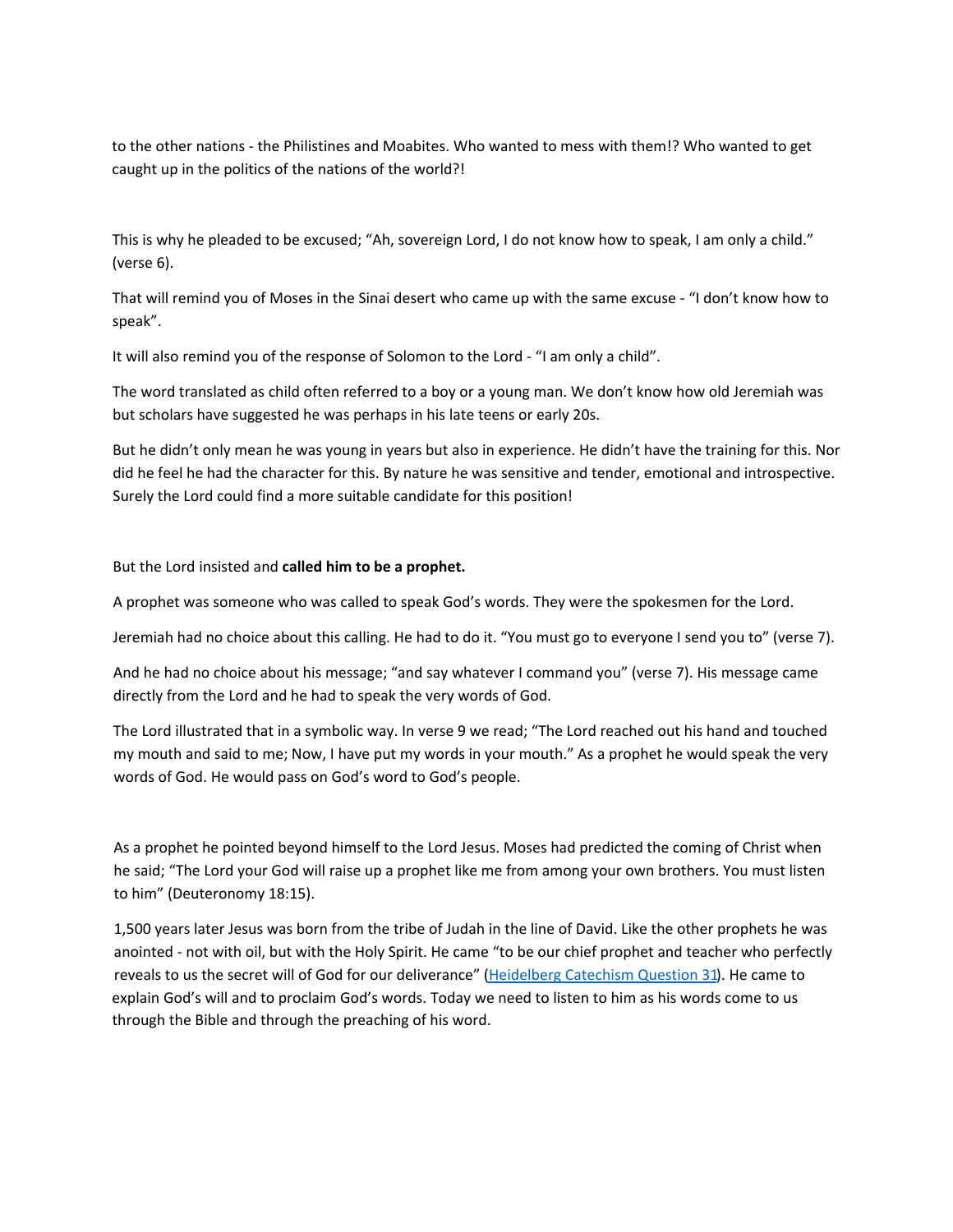to the other nations ‐ the Philistines and Moabites. Who wanted to mess with them!? Who wanted to get caught up in the politics of the nations of the world?!

This is why he pleaded to be excused; "Ah, sovereign Lord, I do not know how to speak, I am only a child." (verse 6).

That will remind you of Moses in the Sinai desert who came up with the same excuse ‐ "I don't know how to speak".

It will also remind you of the response of Solomon to the Lord ‐ "I am only a child".

The word translated as child often referred to a boy or a young man. We don't know how old Jeremiah was but scholars have suggested he was perhaps in his late teens or early 20s.

But he didn't only mean he was young in years but also in experience. He didn't have the training for this. Nor did he feel he had the character for this. By nature he was sensitive and tender, emotional and introspective. Surely the Lord could find a more suitable candidate for this position!

But the Lord insisted and **called him to be a prophet.**

A prophet was someone who was called to speak God's words. They were the spokesmen for the Lord.

Jeremiah had no choice about this calling. He had to do it. "You must go to everyone I send you to" (verse 7).

And he had no choice about his message; "and say whatever I command you" (verse 7). His message came directly from the Lord and he had to speak the very words of God.

The Lord illustrated that in a symbolic way. In verse 9 we read; "The Lord reached out his hand and touched my mouth and said to me; Now, I have put my words in your mouth." As a prophet he would speak the very words of God. He would pass on God's word to God's people.

As a prophet he pointed beyond himself to the Lord Jesus. Moses had predicted the coming of Christ when he said; "The Lord your God will raise up a prophet like me from among your own brothers. You must listen to him" (Deuteronomy 18:15).

1,500 years later Jesus was born from the tribe of Judah in the line of David. Like the other prophets he was anointed ‐ not with oil, but with the Holy Spirit. He came "to be our chief prophet and teacher who perfectly reveals to us the secret will of God for our deliverance" [\(Heidelberg](http://nprc.nz/heidelberg-catechism.html#q31) Catechism Question 31). He came to explain God's will and to proclaim God's words. Today we need to listen to him as his words come to us through the Bible and through the preaching of his word.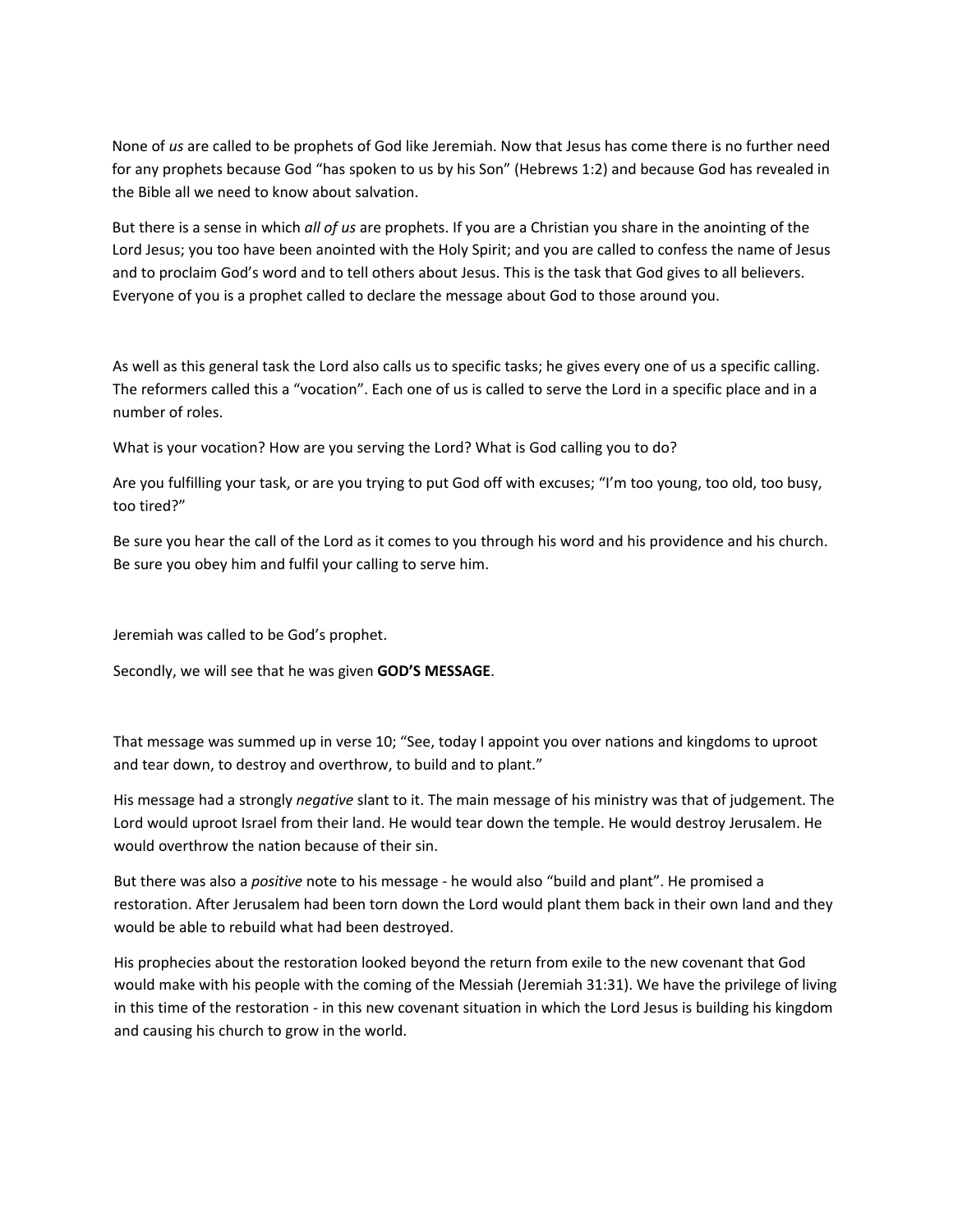None of *us* are called to be prophets of God like Jeremiah. Now that Jesus has come there is no further need for any prophets because God "has spoken to us by his Son" (Hebrews 1:2) and because God has revealed in the Bible all we need to know about salvation.

But there is a sense in which *all of us* are prophets. If you are a Christian you share in the anointing of the Lord Jesus; you too have been anointed with the Holy Spirit; and you are called to confess the name of Jesus and to proclaim God's word and to tell others about Jesus. This is the task that God gives to all believers. Everyone of you is a prophet called to declare the message about God to those around you.

As well as this general task the Lord also calls us to specific tasks; he gives every one of us a specific calling. The reformers called this a "vocation". Each one of us is called to serve the Lord in a specific place and in a number of roles.

What is your vocation? How are you serving the Lord? What is God calling you to do?

Are you fulfilling your task, or are you trying to put God off with excuses; "I'm too young, too old, too busy, too tired?"

Be sure you hear the call of the Lord as it comes to you through his word and his providence and his church. Be sure you obey him and fulfil your calling to serve him.

Jeremiah was called to be God's prophet.

Secondly, we will see that he was given **GOD'S MESSAGE**.

That message was summed up in verse 10; "See, today I appoint you over nations and kingdoms to uproot and tear down, to destroy and overthrow, to build and to plant."

His message had a strongly *negative* slant to it. The main message of his ministry was that of judgement. The Lord would uproot Israel from their land. He would tear down the temple. He would destroy Jerusalem. He would overthrow the nation because of their sin.

But there was also a *positive* note to his message ‐ he would also "build and plant". He promised a restoration. After Jerusalem had been torn down the Lord would plant them back in their own land and they would be able to rebuild what had been destroyed.

His prophecies about the restoration looked beyond the return from exile to the new covenant that God would make with his people with the coming of the Messiah (Jeremiah 31:31). We have the privilege of living in this time of the restoration ‐ in this new covenant situation in which the Lord Jesus is building his kingdom and causing his church to grow in the world.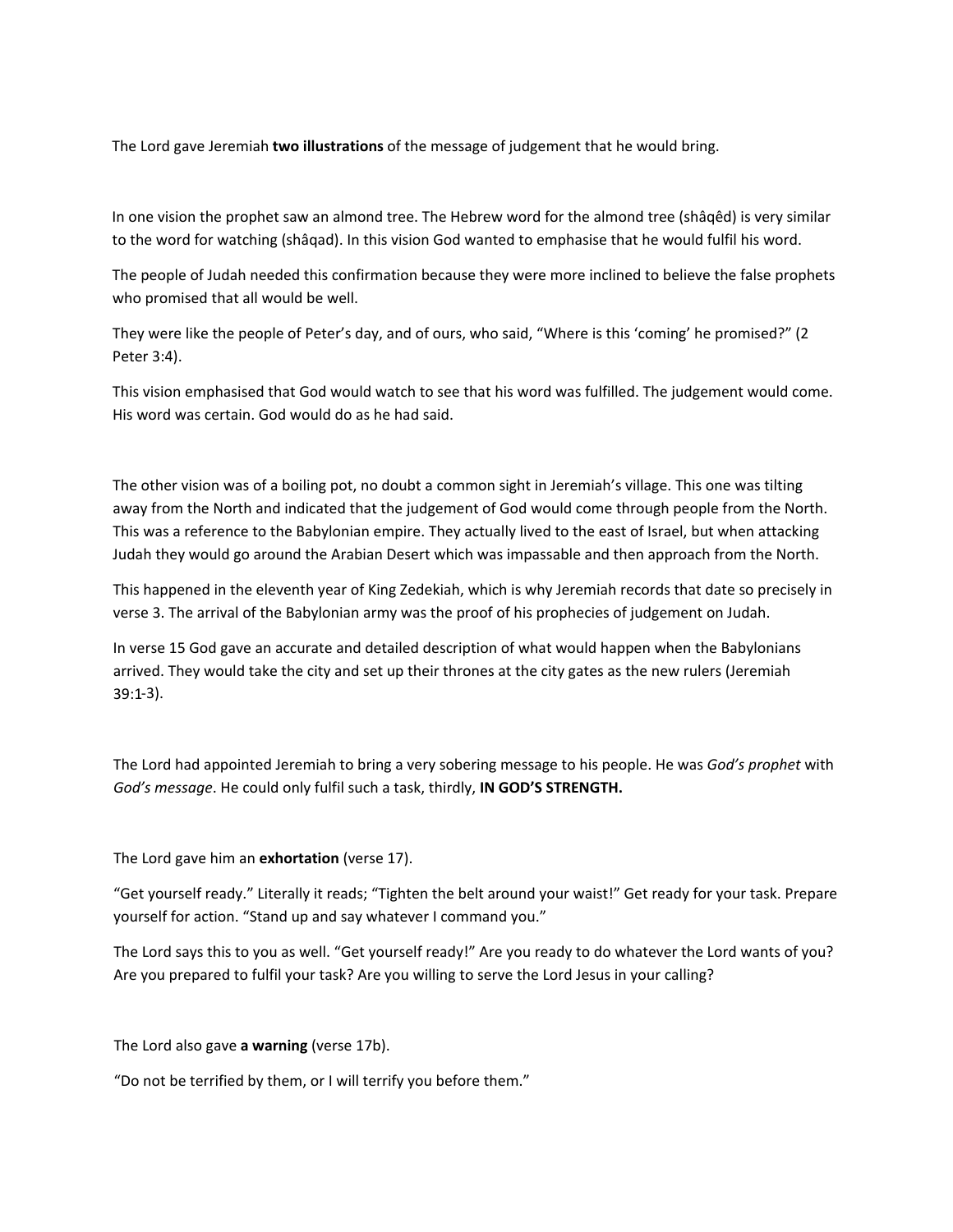The Lord gave Jeremiah **two illustrations** of the message of judgement that he would bring.

In one vision the prophet saw an almond tree. The Hebrew word for the almond tree (shâqêd) is very similar to the word for watching (shâqad). In this vision God wanted to emphasise that he would fulfil his word.

The people of Judah needed this confirmation because they were more inclined to believe the false prophets who promised that all would be well.

They were like the people of Peter's day, and of ours, who said, "Where is this 'coming' he promised?" (2 Peter 3:4).

This vision emphasised that God would watch to see that his word was fulfilled. The judgement would come. His word was certain. God would do as he had said.

The other vision was of a boiling pot, no doubt a common sight in Jeremiah's village. This one was tilting away from the North and indicated that the judgement of God would come through people from the North. This was a reference to the Babylonian empire. They actually lived to the east of Israel, but when attacking Judah they would go around the Arabian Desert which was impassable and then approach from the North.

This happened in the eleventh year of King Zedekiah, which is why Jeremiah records that date so precisely in verse 3. The arrival of the Babylonian army was the proof of his prophecies of judgement on Judah.

‐3). 39:1 In verse 15 God gave an accurate and detailed description of what would happen when the Babylonians arrived. They would take the city and set up their thrones at the city gates as the new rulers (Jeremiah

The Lord had appointed Jeremiah to bring a very sobering message to his people. He was *God's prophet* with *God's message*. He could only fulfil such a task, thirdly, **IN GOD'S STRENGTH.**

The Lord gave him an **exhortation** (verse 17).

"Get yourself ready." Literally it reads; "Tighten the belt around your waist!" Get ready for your task. Prepare yourself for action. "Stand up and say whatever I command you."

The Lord says this to you as well. "Get yourself ready!" Are you ready to do whatever the Lord wants of you? Are you prepared to fulfil your task? Are you willing to serve the Lord Jesus in your calling?

The Lord also gave **a warning** (verse 17b).

"Do not be terrified by them, or I will terrify you before them."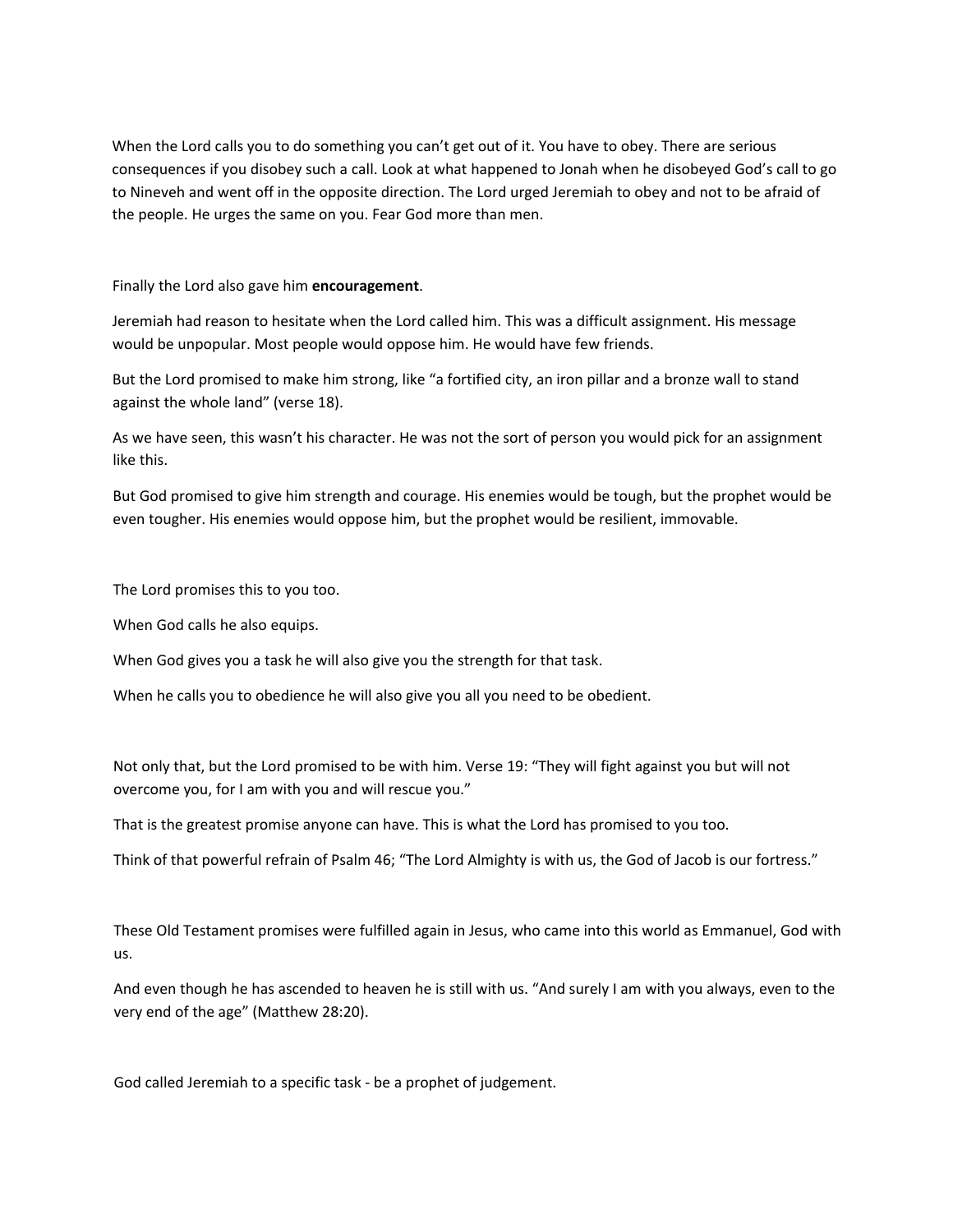When the Lord calls you to do something you can't get out of it. You have to obey. There are serious consequences if you disobey such a call. Look at what happened to Jonah when he disobeyed God's call to go to Nineveh and went off in the opposite direction. The Lord urged Jeremiah to obey and not to be afraid of the people. He urges the same on you. Fear God more than men.

Finally the Lord also gave him **encouragement**.

Jeremiah had reason to hesitate when the Lord called him. This was a difficult assignment. His message would be unpopular. Most people would oppose him. He would have few friends.

But the Lord promised to make him strong, like "a fortified city, an iron pillar and a bronze wall to stand against the whole land" (verse 18).

As we have seen, this wasn't his character. He was not the sort of person you would pick for an assignment like this.

But God promised to give him strength and courage. His enemies would be tough, but the prophet would be even tougher. His enemies would oppose him, but the prophet would be resilient, immovable.

The Lord promises this to you too.

When God calls he also equips.

When God gives you a task he will also give you the strength for that task.

When he calls you to obedience he will also give you all you need to be obedient.

Not only that, but the Lord promised to be with him. Verse 19: "They will fight against you but will not overcome you, for I am with you and will rescue you."

That is the greatest promise anyone can have. This is what the Lord has promised to you too.

Think of that powerful refrain of Psalm 46; "The Lord Almighty is with us, the God of Jacob is our fortress."

These Old Testament promises were fulfilled again in Jesus, who came into this world as Emmanuel, God with us.

And even though he has ascended to heaven he is still with us. "And surely I am with you always, even to the very end of the age" (Matthew 28:20).

God called Jeremiah to a specific task ‐ be a prophet of judgement.